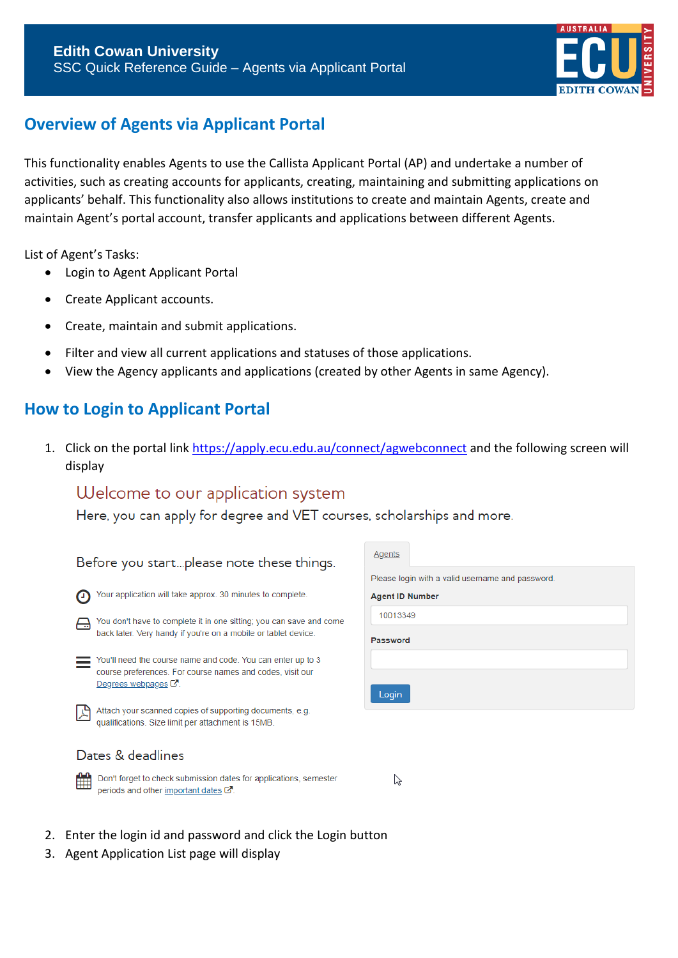

# **Overview of Agents via Applicant Portal**

This functionality enables Agents to use the Callista Applicant Portal (AP) and undertake a number of activities, such as creating accounts for applicants, creating, maintaining and submitting applications on applicants' behalf. This functionality also allows institutions to create and maintain Agents, create and maintain Agent's portal account, transfer applicants and applications between different Agents.

List of Agent's Tasks:

- Login to Agent Applicant Portal
- Create Applicant accounts.
- Create, maintain and submit applications.
- Filter and view all current applications and statuses of those applications.
- View the Agency applicants and applications (created by other Agents in same Agency).

## **How to Login to Applicant Portal**

1. Click on the portal link <https://apply.ecu.edu.au/connect/agwebconnect> and the following screen will display

 $\mathbb{Z}$ 

# Welcome to our application system

Here, you can apply for degree and VET courses, scholarships and more.

| Before you startplease note these things.                                                                             |     |  |  |  |
|-----------------------------------------------------------------------------------------------------------------------|-----|--|--|--|
|                                                                                                                       | PI6 |  |  |  |
| Your application will take approx. 30 minutes to complete.                                                            | Ag  |  |  |  |
| You don't have to complete it in one sitting; you can save and come                                                   |     |  |  |  |
| back later. Very handy if you're on a mobile or tablet device.                                                        | Pa  |  |  |  |
| You'll need the course name and code. You can enter up to 3                                                           |     |  |  |  |
| course preferences. For course names and codes, visit our<br>Degrees webpages $\mathbb{Z}$ .                          |     |  |  |  |
|                                                                                                                       |     |  |  |  |
| Attach your scanned copies of supporting documents, e.g.<br>qualifications. Size limit per attachment is 15MB.        |     |  |  |  |
|                                                                                                                       |     |  |  |  |
| Dates & deadlines                                                                                                     |     |  |  |  |
| Don't forget to check submission dates for applications, semester<br>periods and other important dates $\mathbb{Z}$ . |     |  |  |  |

| Agents                                           |  |  |  |  |  |
|--------------------------------------------------|--|--|--|--|--|
| Please login with a valid username and password. |  |  |  |  |  |
| <b>Agent ID Number</b>                           |  |  |  |  |  |
| 10013349                                         |  |  |  |  |  |
| <b>Password</b>                                  |  |  |  |  |  |
|                                                  |  |  |  |  |  |
| Login                                            |  |  |  |  |  |

### 2. Enter the login id and password and click the Login button

3. Agent Application List page will display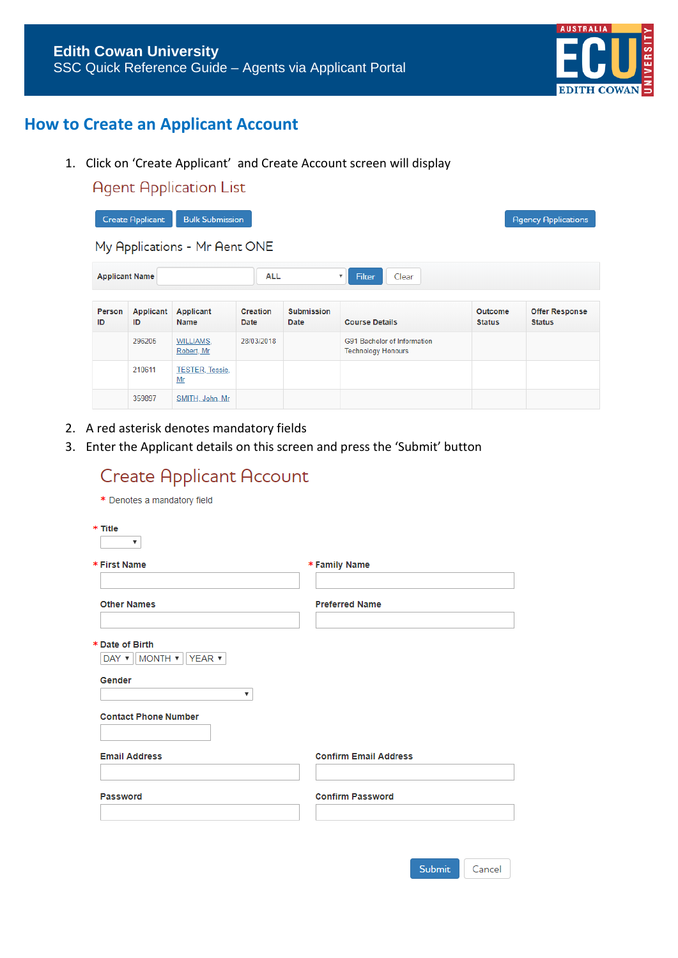

# **How to Create an Applicant Account**

- 1. Click on 'Create Applicant' and Create Account screen will display
	- **Agent Application List**

| <b>Bulk Submission</b><br><b>Create Applicant</b><br><b>Agency Applications</b> |                                                                                            |                                 |                         |                           |                                                          |                          |                                        |
|---------------------------------------------------------------------------------|--------------------------------------------------------------------------------------------|---------------------------------|-------------------------|---------------------------|----------------------------------------------------------|--------------------------|----------------------------------------|
|                                                                                 | My Applications - Mr Aent ONE                                                              |                                 |                         |                           |                                                          |                          |                                        |
|                                                                                 | <b>Applicant Name</b><br><b>ALL</b><br><b>Filter</b><br>Clear<br>$\boldsymbol{\mathrm{v}}$ |                                 |                         |                           |                                                          |                          |                                        |
| Person<br>ID                                                                    | Applicant<br>ID                                                                            | <b>Applicant</b><br><b>Name</b> | <b>Creation</b><br>Date | <b>Submission</b><br>Date | <b>Course Details</b>                                    | Outcome<br><b>Status</b> | <b>Offer Response</b><br><b>Status</b> |
|                                                                                 | 296205                                                                                     | <b>WILLIAMS.</b><br>Robert, Mr  | 28/03/2018              |                           | G91 Bachelor of Information<br><b>Technology Honours</b> |                          |                                        |
|                                                                                 | 210611                                                                                     | <b>TESTER, Tessie,</b><br>Mr    |                         |                           |                                                          |                          |                                        |
|                                                                                 | 359897                                                                                     | SMITH, John, Mr.                |                         |                           |                                                          |                          |                                        |

- 2. A red asterisk denotes mandatory fields
- 3. Enter the Applicant details on this screen and press the 'Submit' button

| <b>Create Applicant Account</b>                                                                        |                              |
|--------------------------------------------------------------------------------------------------------|------------------------------|
| * Denotes a mandatory field                                                                            |                              |
| * Title<br>▼                                                                                           |                              |
| * First Name                                                                                           | * Family Name                |
| <b>Other Names</b>                                                                                     | <b>Preferred Name</b>        |
| * Date of Birth<br>DAY $\triangledown$    MONTH $\triangledown$    YEAR $\triangledown$<br>Gender<br>▼ |                              |
| <b>Contact Phone Number</b>                                                                            |                              |
| <b>Email Address</b>                                                                                   | <b>Confirm Email Address</b> |
| Password                                                                                               | <b>Confirm Password</b>      |
|                                                                                                        |                              |
|                                                                                                        | <b>Submit</b><br>Cancel      |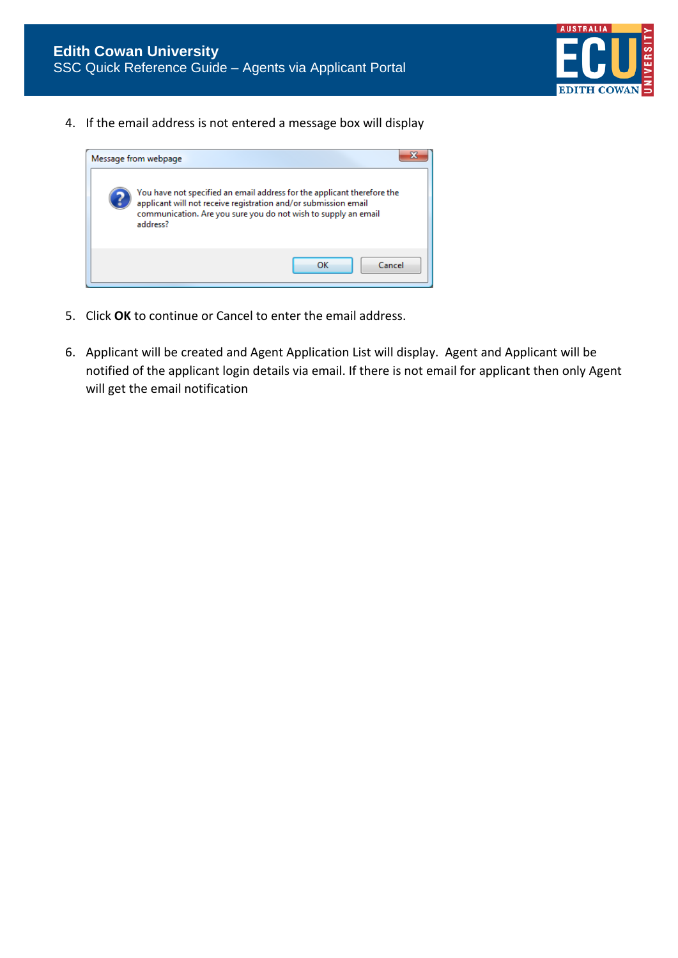

4. If the email address is not entered a message box will display



- 5. Click **OK** to continue or Cancel to enter the email address.
- 6. Applicant will be created and Agent Application List will display. Agent and Applicant will be notified of the applicant login details via email. If there is not email for applicant then only Agent will get the email notification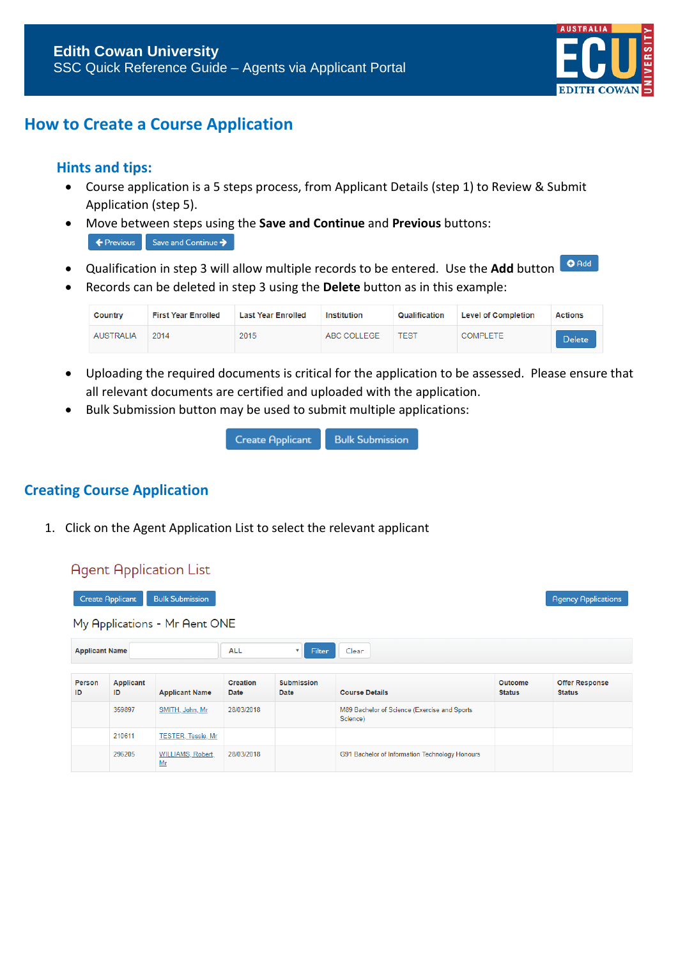

## **How to Create a Course Application**

### **Hints and tips:**

- Course application is a 5 steps process, from Applicant Details (step 1) to Review & Submit Application (step 5).
- Move between steps using the **Save and Continue** and **Previous** buttons: Exercise Save and Continue →
- Qualification in step 3 will allow multiple records to be entered. Use the **Add** button
- Records can be deleted in step 3 using the **Delete** button as in this example:

| Country          | <b>First Year Enrolled</b> | <b>Last Year Enrolled</b> | Institution | Qualification | <b>Level of Completion</b> | <b>Actions</b> |
|------------------|----------------------------|---------------------------|-------------|---------------|----------------------------|----------------|
| <b>AUSTRALIA</b> | 2014                       | 2015                      | ABC COLLEGE | TEST          | <b>COMPLETE</b>            | <b>Delete</b>  |

- Uploading the required documents is critical for the application to be assessed. Please ensure that all relevant documents are certified and uploaded with the application.
- Bulk Submission button may be used to submit multiple applications:

| <b>Create Applicant</b> | <b>Bulk Submission</b> |
|-------------------------|------------------------|
|-------------------------|------------------------|

### **Creating Course Application**

**Agent Application List** 

1. Click on the Agent Application List to select the relevant applicant

| <b>TRACTIC PROPROGRAM</b>                                                       |                        |                               |                         |                                     |                                                          |                          |                                        |
|---------------------------------------------------------------------------------|------------------------|-------------------------------|-------------------------|-------------------------------------|----------------------------------------------------------|--------------------------|----------------------------------------|
| <b>Bulk Submission</b><br><b>Create Applicant</b><br><b>Agency Applications</b> |                        |                               |                         |                                     |                                                          |                          |                                        |
|                                                                                 |                        | My Applications - Mr Aent ONE |                         |                                     |                                                          |                          |                                        |
| <b>Applicant Name</b>                                                           |                        |                               | <b>ALL</b>              | Filter<br>$\boldsymbol{\mathrm{v}}$ | Clear                                                    |                          |                                        |
| Person<br>ID                                                                    | <b>Applicant</b><br>ID | <b>Applicant Name</b>         | <b>Creation</b><br>Date | <b>Submission</b><br>Date           | <b>Course Details</b>                                    | Outcome<br><b>Status</b> | <b>Offer Response</b><br><b>Status</b> |
|                                                                                 | 359897                 | SMITH, John, Mr.              | 28/03/2018              |                                     | M89 Bachelor of Science (Exercise and Sports<br>Science) |                          |                                        |
|                                                                                 | 210611                 | <b>TESTER, Tessie, Mr</b>     |                         |                                     |                                                          |                          |                                        |
|                                                                                 | 296205                 | WILLIAMS, Robert,<br>Mr       | 28/03/2018              |                                     | G91 Bachelor of Information Technology Honours           |                          |                                        |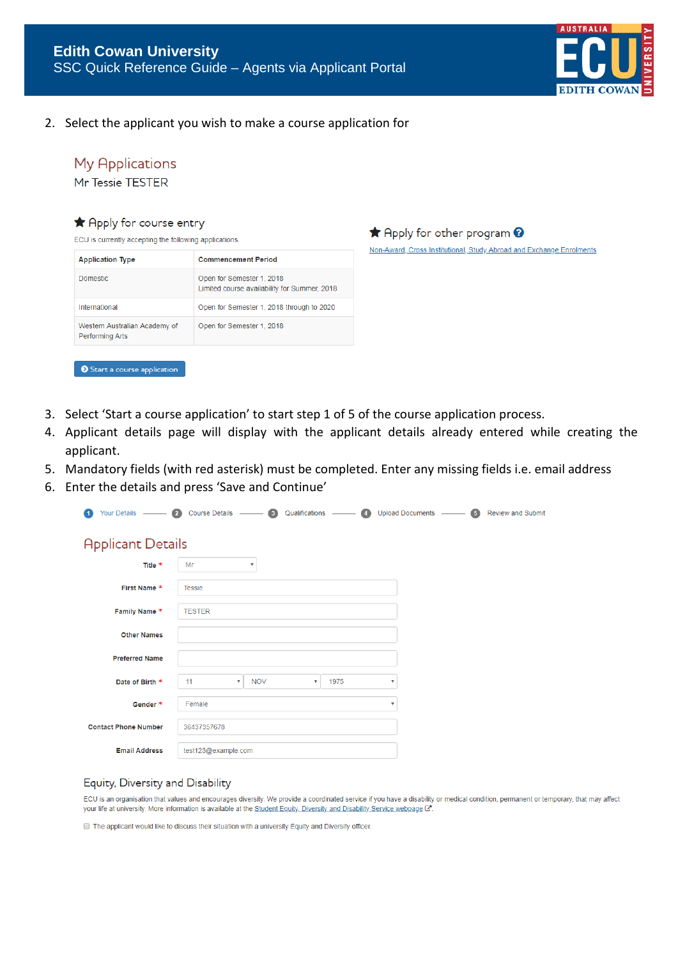

2. Select the applicant you wish to make a course application for

### **My Applications**

Mr Tessie TESTER

#### A Apply for course entry

ECU is currently accepting the following applications.

| <b>Application Type</b>                          | <b>Commencement Period</b>                                                |
|--------------------------------------------------|---------------------------------------------------------------------------|
| Domestic.                                        | Open for Semester 1, 2018<br>Limited course availability for Summer, 2018 |
| International                                    | Open for Semester 1, 2018 through to 2020                                 |
| Western Australian Academy of<br>Performing Arts | Open for Semester 1, 2018                                                 |
|                                                  |                                                                           |
| Start a course application                       |                                                                           |

★ Apply for other program ? Non-Award, Cross Institutional, Study Abroad and Exchange Enrolments

- 3. Select 'Start a course application' to start step 1 of 5 of the course application process.
- 4. Applicant details page will display with the applicant details already entered while creating the applicant.
- 5. Mandatory fields (with red asterisk) must be completed. Enter any missing fields i.e. email address
- 6. Enter the details and press 'Save and Continue'

| Your Details -<br>1         | $\overline{2}$<br><b>Course Details</b> | $\sqrt{3}$<br>$\sim$ 100 $\sim$ | Qualifications                  | $\overline{4}$<br><b>Upload Documents</b> | $\sim$ $\sim$ $\sim$ $\sim$ | <b>Review and Submit</b> |
|-----------------------------|-----------------------------------------|---------------------------------|---------------------------------|-------------------------------------------|-----------------------------|--------------------------|
| <b>Applicant Details</b>    |                                         |                                 |                                 |                                           |                             |                          |
| Title *                     | Mr                                      | $\boldsymbol{\mathrm{v}}$       |                                 |                                           |                             |                          |
| First Name *                | <b>Tessie</b>                           |                                 |                                 |                                           |                             |                          |
| Family Name *               | <b>TESTER</b>                           |                                 |                                 |                                           |                             |                          |
| <b>Other Names</b>          |                                         |                                 |                                 |                                           |                             |                          |
| <b>Preferred Name</b>       |                                         |                                 |                                 |                                           |                             |                          |
| Date of Birth *             | 11<br>$\overline{\mathbf{v}}$           | <b>NOV</b>                      | 1975<br>$\overline{\mathbf{v}}$ | ▼                                         |                             |                          |
| Gender *                    | Female                                  |                                 |                                 | $\boldsymbol{\mathrm{v}}$                 |                             |                          |
| <b>Contact Phone Number</b> | 36437357678                             |                                 |                                 |                                           |                             |                          |
| <b>Email Address</b>        | test123@example.com                     |                                 |                                 |                                           |                             |                          |

#### Equity, Diversity and Disability

ECU is an organisation that values and encourages diversity. We provide a coordinated service if you have a disability or medical condition, permanent or temporary, that may affect your life at university. More information is available at the Student Equity, Diversity and Disability Service webpage

The applicant would like to discuss their situation with a university Equity and Diversity officer.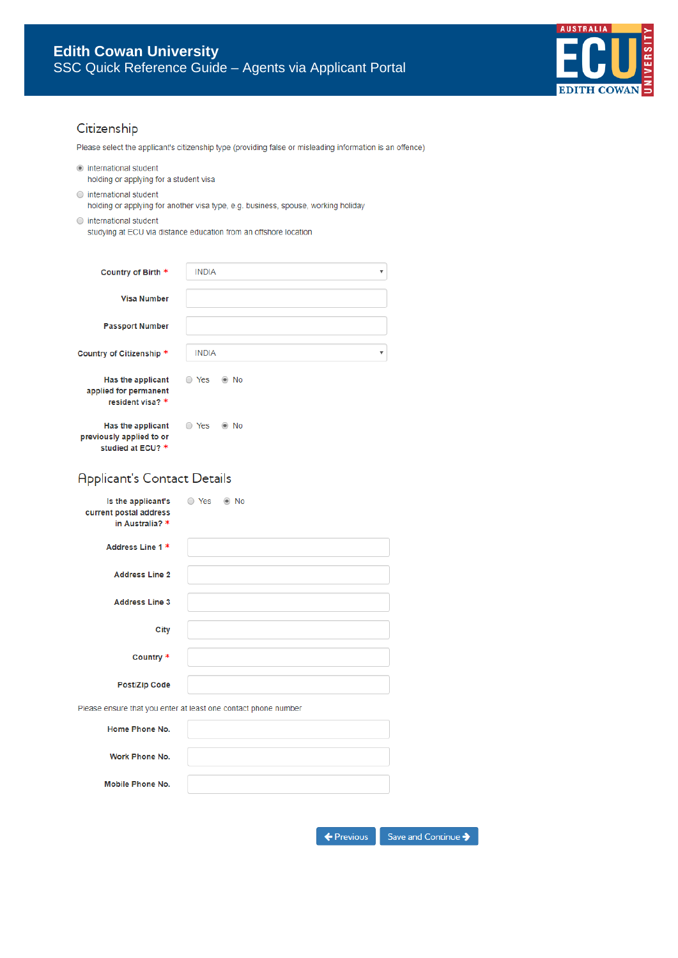

### Citizenship

Please select the applicant's citizenship type (providing false or misleading information is an offence)

 $\odot$  international student

holding or applying for a student visa

- $\bigcirc$  international student holding or applying for another visa type, e.g. business, spouse, working holiday
- $\circ$  international student

studying at ECU via distance education from an offshore location

| Country of Birth *                                                 | <b>INDIA</b>                            |
|--------------------------------------------------------------------|-----------------------------------------|
| <b>Visa Number</b>                                                 |                                         |
| <b>Passport Number</b>                                             |                                         |
| Country of Citizenship *                                           | <b>INDIA</b><br>$\overline{\mathbf{v}}$ |
| Has the applicant<br>applied for permanent<br>resident visa? *     | Yes<br>$\circ$ No                       |
| Has the applicant<br>previously applied to or<br>studied at ECU? * | Yes<br>No<br>$\circledcirc$             |

### **Applicant's Contact Details**

| Is the applicant's $\qquad$ Yes<br>current postal address<br>in Australia? * | $\odot$ No                                                     |
|------------------------------------------------------------------------------|----------------------------------------------------------------|
| Address Line 1 *                                                             |                                                                |
| <b>Address Line 2</b>                                                        |                                                                |
| <b>Address Line 3</b>                                                        |                                                                |
| City                                                                         |                                                                |
| Country *                                                                    |                                                                |
| Post/Zip Code                                                                |                                                                |
|                                                                              | Please ensure that you enter at least one contact phone number |
| Home Phone No.                                                               |                                                                |
| Work Phone No.                                                               |                                                                |
| <b>Mobile Phone No.</b>                                                      |                                                                |
|                                                                              |                                                                |

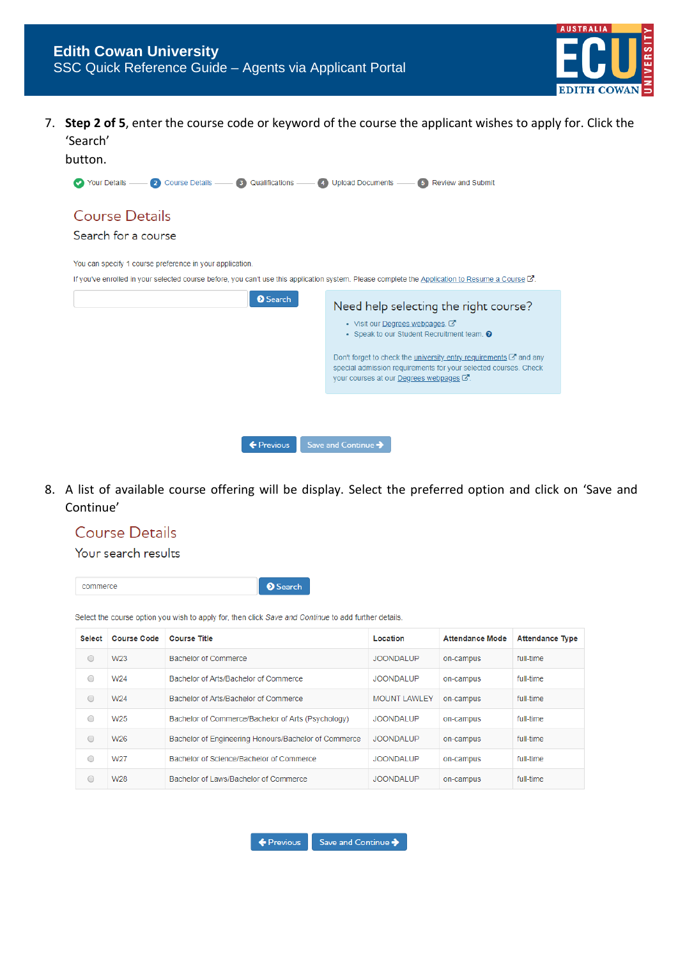

7. **Step 2 of 5**, enter the course code or keyword of the course the applicant wishes to apply for. Click the 'Search'

| button.                                                                                                                                                     |                                                                                                                                                                                                       |
|-------------------------------------------------------------------------------------------------------------------------------------------------------------|-------------------------------------------------------------------------------------------------------------------------------------------------------------------------------------------------------|
| Your Details — 2 Course Details — 3 Qualifications — 4 Upload Documents — 5 Review and Submit                                                               |                                                                                                                                                                                                       |
| Course Details                                                                                                                                              |                                                                                                                                                                                                       |
| Search for a course                                                                                                                                         |                                                                                                                                                                                                       |
| You can specify 1 course preference in your application.                                                                                                    |                                                                                                                                                                                                       |
| If you've enrolled in your selected course before, you can't use this application system. Please complete the Application to Resume a Course $\mathbb{Z}$ . |                                                                                                                                                                                                       |
| <b>O</b> Search                                                                                                                                             | Need help selecting the right course?                                                                                                                                                                 |
|                                                                                                                                                             | • Visit our Degrees webpages.<br>• Speak to our Student Recruitment team. @                                                                                                                           |
|                                                                                                                                                             | Don't forget to check the <i>university</i> entry requirements $\mathbb{Z}^n$ and any<br>special admission requirements for your selected courses. Check<br>your courses at our Degrees webpages [2]. |
|                                                                                                                                                             |                                                                                                                                                                                                       |
|                                                                                                                                                             |                                                                                                                                                                                                       |
| ← Previous                                                                                                                                                  | Save and Continue                                                                                                                                                                                     |

8. A list of available course offering will be display. Select the preferred option and click on 'Save and Continue'

# **Course Details**

#### Your search results

commerce

**O** Search

Select the course option you wish to apply for, then click Save and Continue to add further details.

| <b>Select</b> | <b>Course Code</b> | <b>Course Title</b>                                  | Location            | <b>Attendance Mode</b> | <b>Attendance Type</b> |
|---------------|--------------------|------------------------------------------------------|---------------------|------------------------|------------------------|
| 0             | W <sub>23</sub>    | Bachelor of Commerce                                 | JOONDALUP           | on-campus              | full-time              |
| 0             | W24                | Bachelor of Arts/Bachelor of Commerce                | <b>JOONDALUP</b>    | on-campus              | full-time              |
| 0             | W24                | Bachelor of Arts/Bachelor of Commerce                | <b>MOUNT LAWLEY</b> | on-campus              | full-time              |
| 0             | W <sub>25</sub>    | Bachelor of Commerce/Bachelor of Arts (Psychology)   | <b>JOONDALUP</b>    | on-campus              | full-time              |
| 0             | W26                | Bachelor of Engineering Honours/Bachelor of Commerce | <b>JOONDALUP</b>    | on-campus              | full-time              |
| 0             | W27                | Bachelor of Science/Bachelor of Commerce             | <b>JOONDALUP</b>    | on-campus              | full-time              |
| O             | W28                | Bachelor of Laws/Bachelor of Commerce                | <b>JOONDALUP</b>    | on-campus              | full-time              |

 $\leftarrow$  Previous

Save and Continue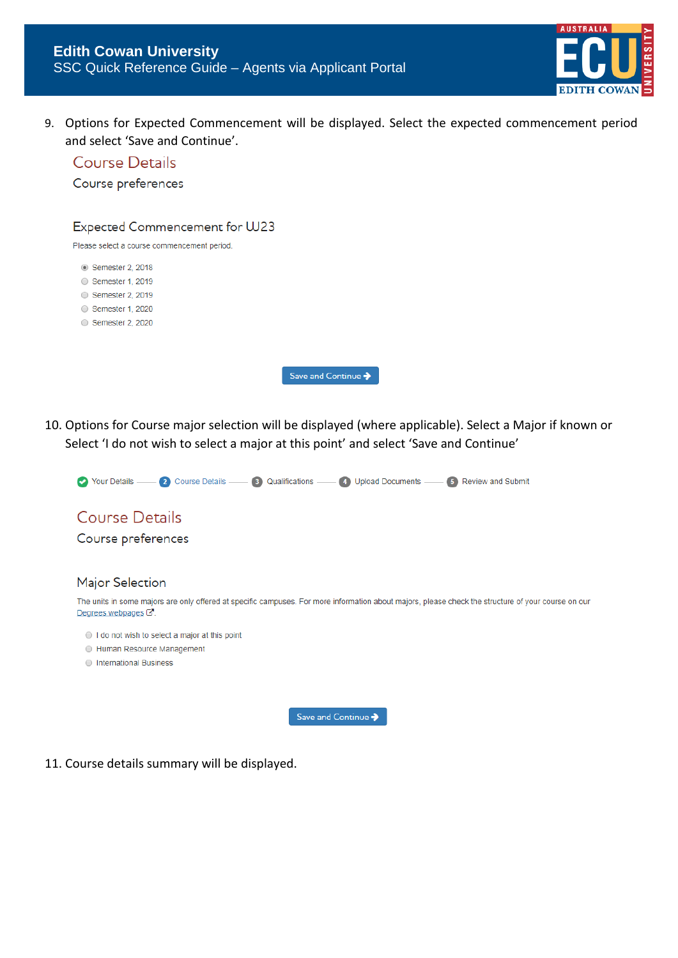

9. Options for Expected Commencement will be displayed. Select the expected commencement period and select 'Save and Continue'.



10. Options for Course major selection will be displayed (where applicable). Select a Major if known or Select 'I do not wish to select a major at this point' and select 'Save and Continue'



11. Course details summary will be displayed.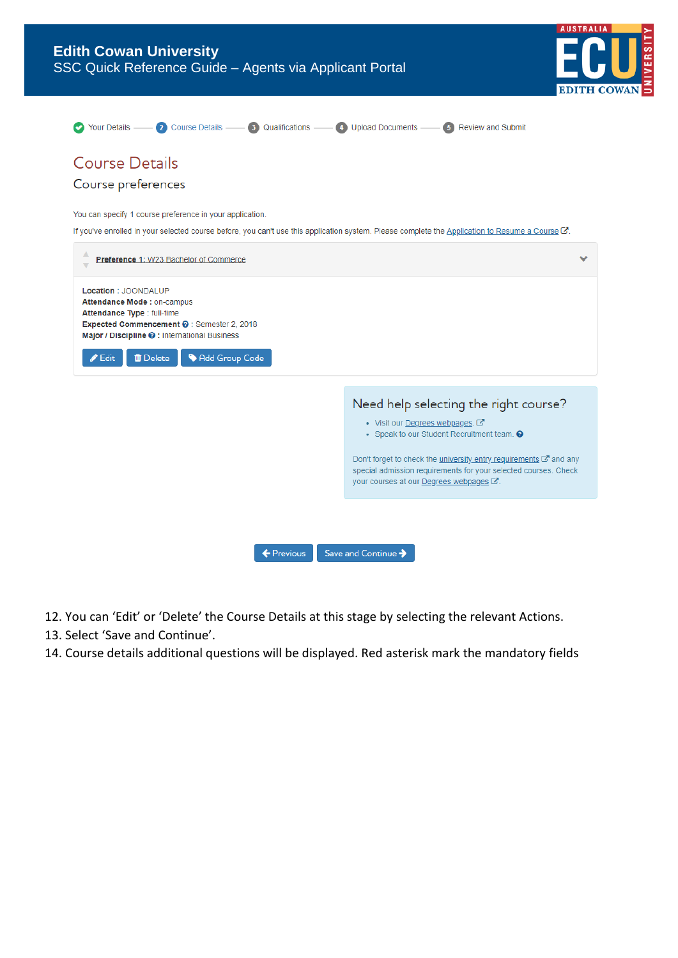

| Your Details —— 2 Course Details —— 3 Qualifications —— 4 Upload Documents —— 5 Review and Submit                                                                                                                                        |                                                                                                                                                                                                                                                                                                                       |
|------------------------------------------------------------------------------------------------------------------------------------------------------------------------------------------------------------------------------------------|-----------------------------------------------------------------------------------------------------------------------------------------------------------------------------------------------------------------------------------------------------------------------------------------------------------------------|
| <b>Course Details</b>                                                                                                                                                                                                                    |                                                                                                                                                                                                                                                                                                                       |
| Course preferences                                                                                                                                                                                                                       |                                                                                                                                                                                                                                                                                                                       |
| You can specify 1 course preference in your application.                                                                                                                                                                                 |                                                                                                                                                                                                                                                                                                                       |
| If you've enrolled in your selected course before, you can't use this application system. Please complete the Application to Resume a Course C.                                                                                          |                                                                                                                                                                                                                                                                                                                       |
| Preference 1: W23 Bachelor of Commerce                                                                                                                                                                                                   |                                                                                                                                                                                                                                                                                                                       |
| Location : JOONDALUP<br>Attendance Mode: on-campus<br>Attendance Type : full-time<br>Expected Commencement @ : Semester 2, 2018<br>Major / Discipline @: International Business<br>Add Group Code<br><b>自</b> Delete<br>$\triangle$ Edit |                                                                                                                                                                                                                                                                                                                       |
|                                                                                                                                                                                                                                          | Need help selecting the right course?<br>• Visit our Degrees webpages.<br>• Speak to our Student Recruitment team. @<br>Don't forget to check the <i>university entry requirements</i> <b>■</b> and any<br>special admission requirements for your selected courses. Check<br>your courses at our Degrees webpages C. |
|                                                                                                                                                                                                                                          |                                                                                                                                                                                                                                                                                                                       |
| ← Previous                                                                                                                                                                                                                               | Save and Continue >                                                                                                                                                                                                                                                                                                   |

- 12. You can 'Edit' or 'Delete' the Course Details at this stage by selecting the relevant Actions.
- 13. Select 'Save and Continue'.
- 14. Course details additional questions will be displayed. Red asterisk mark the mandatory fields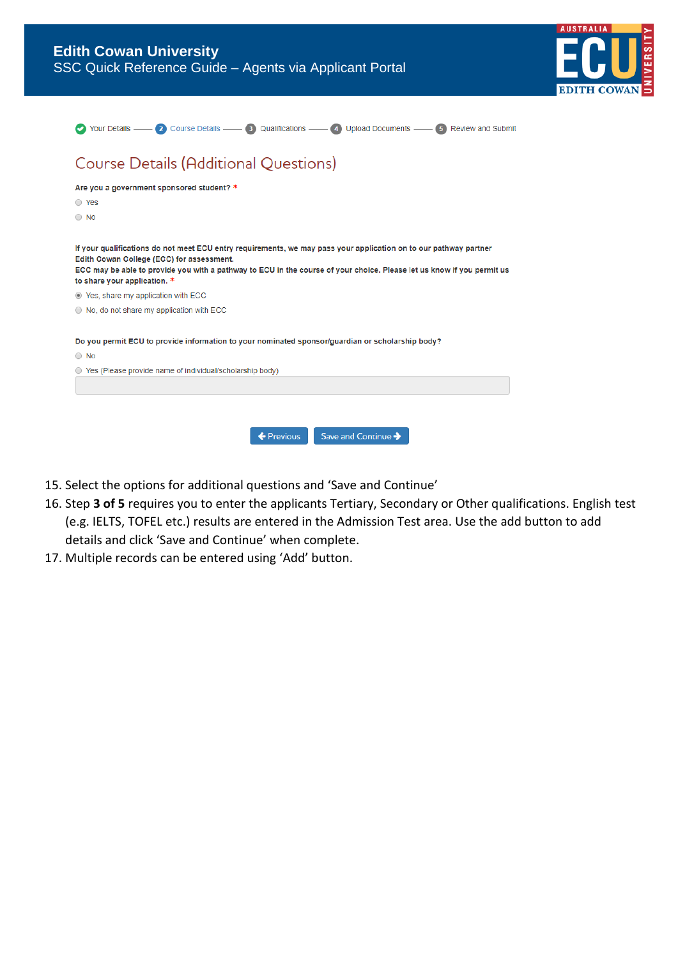| <b>Edith Cowan University</b><br>SSC Quick Reference Guide - Agents via Applicant Portal                                                                                                                                                                                                                                 |  |  |  |  |  |
|--------------------------------------------------------------------------------------------------------------------------------------------------------------------------------------------------------------------------------------------------------------------------------------------------------------------------|--|--|--|--|--|
| Your Details — 2 Course Details — 3 Qualifications — 4 Upload Documents — 5 Review and Submit                                                                                                                                                                                                                            |  |  |  |  |  |
| <b>Course Details (Additional Questions)</b>                                                                                                                                                                                                                                                                             |  |  |  |  |  |
| Are you a government sponsored student? *<br>◯ Yes<br>$\bigcirc$ No                                                                                                                                                                                                                                                      |  |  |  |  |  |
| If your qualifications do not meet ECU entry requirements, we may pass your application on to our pathway partner<br>Edith Cowan College (ECC) for assessment.<br>ECC may be able to provide you with a pathway to ECU in the course of your choice. Please let us know if you permit us<br>to share your application. * |  |  |  |  |  |
| ⊙ Yes, share my application with ECC                                                                                                                                                                                                                                                                                     |  |  |  |  |  |
| $\odot$ No, do not share my application with ECC                                                                                                                                                                                                                                                                         |  |  |  |  |  |
| Do you permit ECU to provide information to your nominated sponsor/guardian or scholarship body?<br>$\bigcirc$ No                                                                                                                                                                                                        |  |  |  |  |  |
| ○ Yes (Please provide name of individual/scholarship body)                                                                                                                                                                                                                                                               |  |  |  |  |  |
| Save and Continue $\rightarrow$<br>$\leftarrow$ Previous                                                                                                                                                                                                                                                                 |  |  |  |  |  |

- 15. Select the options for additional questions and 'Save and Continue'
- 16. Step **3 of 5** requires you to enter the applicants Tertiary, Secondary or Other qualifications. English test (e.g. IELTS, TOFEL etc.) results are entered in the Admission Test area. Use the add button to add details and click 'Save and Continue' when complete.
- 17. Multiple records can be entered using 'Add' button.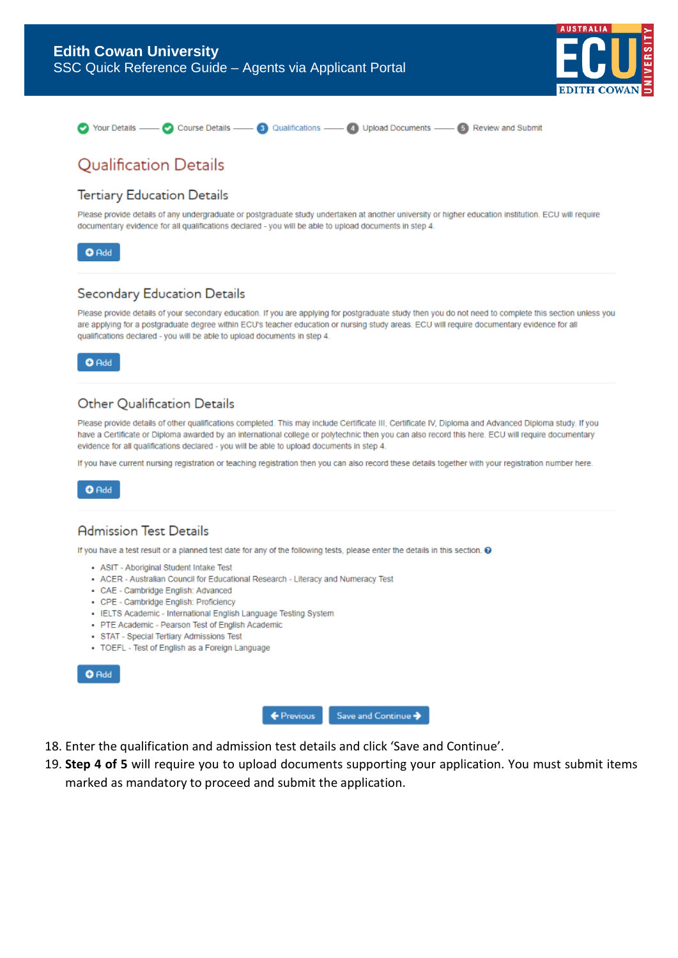



# **Qualification Details**

#### **Tertiary Education Details**

Please provide details of any undergraduate or postgraduate study undertaken at another university or higher education institution. ECU will require documentary evidence for all qualifications declared - you will be able to upload documents in step 4.



### Secondary Education Details

Please provide details of your secondary education. If you are applying for postgraduate study then you do not need to complete this section unless you are applying for a postgraduate degree within ECU's teacher education or nursing study areas. ECU will require documentary evidence for all qualifications declared - you will be able to upload documents in step 4.

 $O$  Add

### Other Qualification Details

Please provide details of other qualifications completed. This may include Certificate III, Certificate IV, Diploma and Advanced Diploma study. If you have a Certificate or Diploma awarded by an international college or polytechnic then you can also record this here. ECU will require documentary evidence for all qualifications declared - you will be able to upload documents in step 4.

If you have current nursing registration or teaching registration then you can also record these details together with your registration number here.



### **Admission Test Details**

If you have a test result or a planned test date for any of the following tests, please enter the details in this section. @

- . ASIT Aboriginal Student Intake Test
- ACER Australian Council for Educational Research Literacy and Numeracy Test
- · CAE Cambridge English: Advanced
- CPE Cambridge English: Proficiency
- · IELTS Academic International English Language Testing System
- · PTE Academic Pearson Test of English Academic
- · STAT Special Tertiary Admissions Test
- TOEFL Test of English as a Foreign Language





- 18. Enter the qualification and admission test details and click 'Save and Continue'.
- 19. **Step 4 of 5** will require you to upload documents supporting your application. You must submit items marked as mandatory to proceed and submit the application.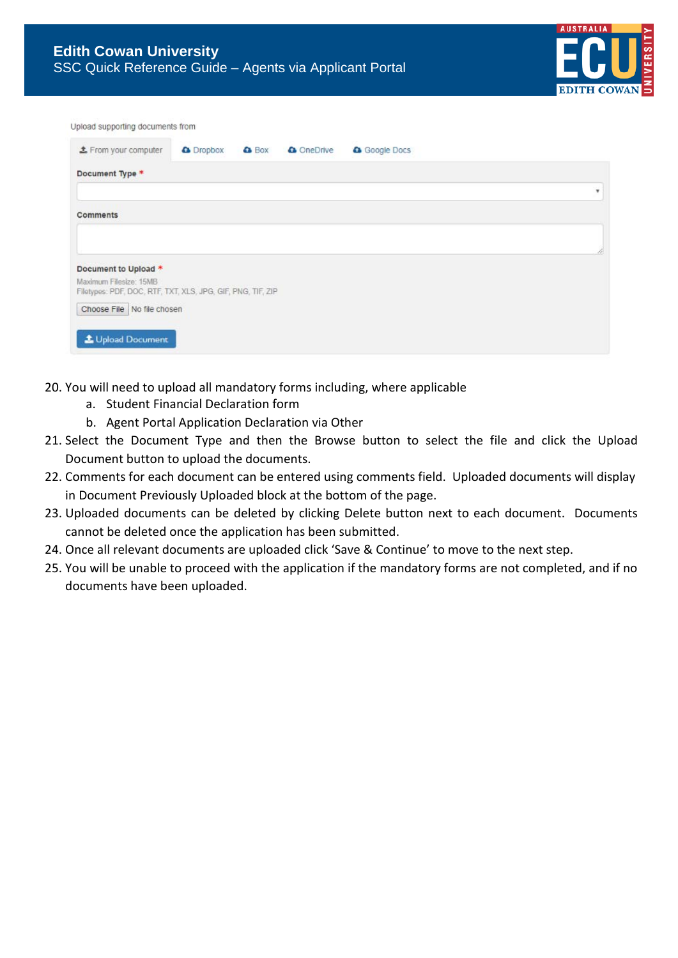

|  | Upload supporting documents from |  |
|--|----------------------------------|--|
|  |                                  |  |

| <b>主</b> From your computer                                 | <b>a</b> Dropbox | <b>&amp;</b> Box | <b>Q</b> OneDrive | Google Docs |    |
|-------------------------------------------------------------|------------------|------------------|-------------------|-------------|----|
| Document Type *                                             |                  |                  |                   |             |    |
|                                                             |                  |                  |                   |             | ٧  |
| Comments                                                    |                  |                  |                   |             |    |
|                                                             |                  |                  |                   |             |    |
|                                                             |                  |                  |                   |             | ħ. |
| Document to Upload *                                        |                  |                  |                   |             |    |
| Maximum Filesize: 15MB                                      |                  |                  |                   |             |    |
| Filetypes: PDF, DOC, RTF, TXT, XLS, JPG, GIF, PNG, TIF, ZIP |                  |                  |                   |             |    |
| Choose File No file chosen                                  |                  |                  |                   |             |    |
|                                                             |                  |                  |                   |             |    |
| <b>1</b> Upload Document                                    |                  |                  |                   |             |    |
|                                                             |                  |                  |                   |             |    |

- 20. You will need to upload all mandatory forms including, where applicable
	- a. Student Financial Declaration form
	- b. Agent Portal Application Declaration via Other
- 21. Select the Document Type and then the Browse button to select the file and click the Upload Document button to upload the documents.
- 22. Comments for each document can be entered using comments field. Uploaded documents will display in Document Previously Uploaded block at the bottom of the page.
- 23. Uploaded documents can be deleted by clicking Delete button next to each document. Documents cannot be deleted once the application has been submitted.
- 24. Once all relevant documents are uploaded click 'Save & Continue' to move to the next step.
- 25. You will be unable to proceed with the application if the mandatory forms are not completed, and if no documents have been uploaded.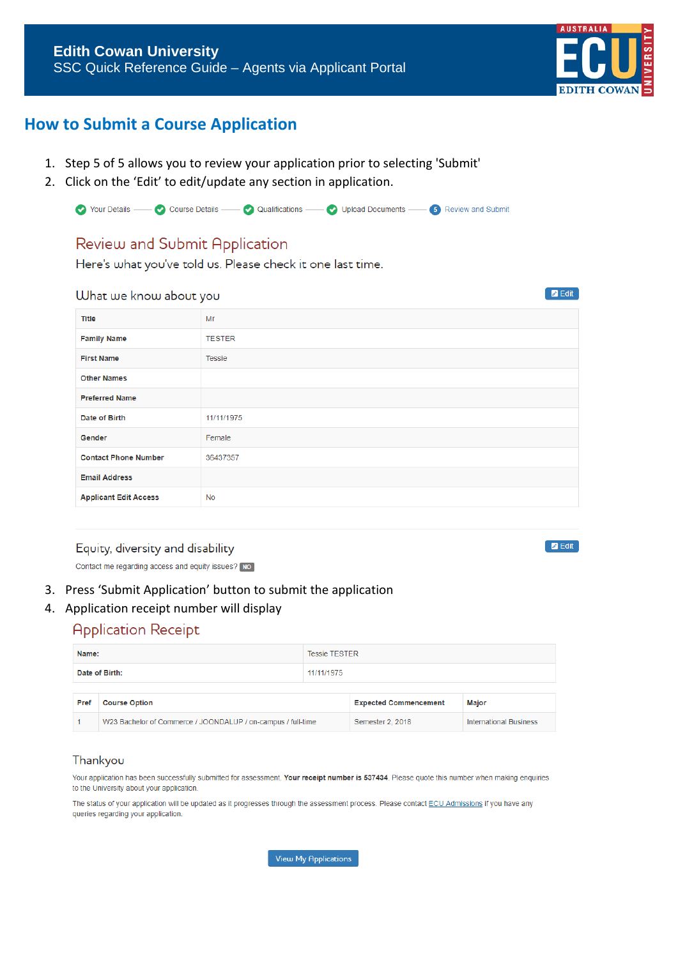

# **How to Submit a Course Application**

- 1. Step 5 of 5 allows you to review your application prior to selecting 'Submit'
- 2. Click on the 'Edit' to edit/update any section in application.

|  |  | ◯ Your Details —— ◯ Course Details —— ◯ Qualifications —— ◯ Upload Documents —— S Review and Submit |  |
|--|--|-----------------------------------------------------------------------------------------------------|--|
|  |  |                                                                                                     |  |

### Review and Submit Application

Here's what you've told us. Please check it one last time.

**UJhat we know about you** 

|                              | -             |
|------------------------------|---------------|
| <b>Title</b>                 | Mr            |
| <b>Family Name</b>           | <b>TESTER</b> |
| <b>First Name</b>            | Tessie        |
| <b>Other Names</b>           |               |
| <b>Preferred Name</b>        |               |
| Date of Birth                | 11/11/1975    |
| Gender                       | Female        |
| <b>Contact Phone Number</b>  | 36437357      |
| <b>Email Address</b>         |               |
| <b>Applicant Edit Access</b> | <b>No</b>     |

#### Equity, diversity and disability

Contact me regarding access and equity issues? NO

#### 3. Press 'Submit Application' button to submit the application

#### 4. Application receipt number will display

### **Application Receipt**

| Name: |                                                              | <b>Tessie TESTER</b> |                               |       |  |
|-------|--------------------------------------------------------------|----------------------|-------------------------------|-------|--|
|       | Date of Birth:                                               | 11/11/1975           |                               |       |  |
|       |                                                              |                      |                               |       |  |
| Pref  | <b>Course Option</b>                                         |                      | <b>Expected Commencement</b>  | Major |  |
|       | W23 Bachelor of Commerce / JOONDALUP / on-campus / full-time | Semester 2, 2018     | <b>International Business</b> |       |  |

#### Thankyou

Your application has been successfully submitted for assessment. Your receipt number is 537434. Please quote this number when making enquiries to the University about your application.

The status of your application will be updated as it progresses through the assessment process. Please contact ECU Admissions if you have any queries regarding your application.

View My Applications

**D** Edit

 $\blacksquare$  Edit